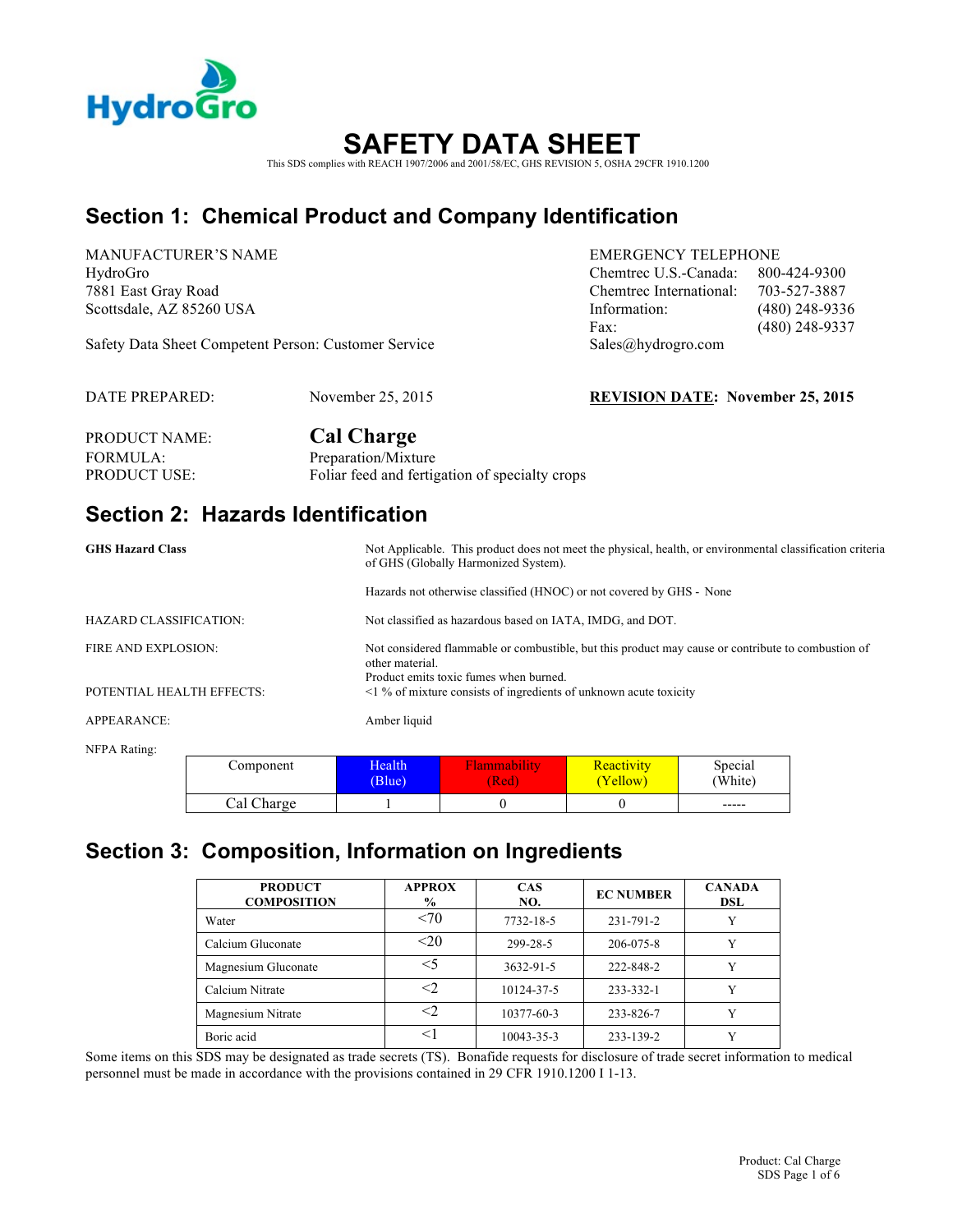

# **SAFETY DATA SHEET**

This SDS complies with REACH 1907/2006 and 2001/58/EC, GHS REVISION 5, OSHA 29CFR 1910.1200

### **Section 1: Chemical Product and Company Identification**

MANUFACTURER'S NAME EMERGENCY TELEPHONE

HydroGro Chemtrec U.S.-Canada: 800-424-9300 7881 East Gray Road Chemtrec International: 703-527-3887 Scottsdale, AZ 85260 USA **Information:** (480) 248-9336 Fax: (480) 248-9337

Safety Data Sheet Competent Person: Customer Service Sales@hydrogro.com

DATE PREPARED: November 25, 2015 **REVISION DATE: November 25, 2015**

| PRODUCT NAME: | <b>Cal Charge</b>                              |
|---------------|------------------------------------------------|
| FORMULA:      | Preparation/Mixture                            |
| PRODUCT USE:  | Foliar feed and fertigation of specialty crops |

### **Section 2: Hazards Identification**

| <b>GHS Hazard Class</b>       | Not Applicable. This product does not meet the physical, health, or environmental classification criteria<br>of GHS (Globally Harmonized System).               |  |
|-------------------------------|-----------------------------------------------------------------------------------------------------------------------------------------------------------------|--|
|                               | Hazards not otherwise classified (HNOC) or not covered by GHS - None                                                                                            |  |
| <b>HAZARD CLASSIFICATION:</b> | Not classified as hazardous based on IATA, IMDG, and DOT.                                                                                                       |  |
| <b>FIRE AND EXPLOSION:</b>    | Not considered flammable or combustible, but this product may cause or contribute to combustion of<br>other material.<br>Product emits toxic fumes when burned. |  |
| POTENTIAL HEALTH EFFECTS:     | $\leq$ 1 % of mixture consists of ingredients of unknown acute toxicity                                                                                         |  |
| APPEARANCE:                   | Amber liquid                                                                                                                                                    |  |

NFPA Rating:

| Component  | Health | <i>Aammability</i> | Reactivity | Special                   |
|------------|--------|--------------------|------------|---------------------------|
|            | (Blue) | (Red               | (Yellow)   | (White)                   |
| Cal Charge |        |                    |            | $\qquad \qquad - - - - -$ |

### **Section 3: Composition, Information on Ingredients**

| <b>PRODUCT</b><br><b>COMPOSITION</b> | <b>APPROX</b><br>$\%$ | <b>CAS</b><br>NO. | <b>EC NUMBER</b> | <b>CANADA</b><br>DSL |
|--------------------------------------|-----------------------|-------------------|------------------|----------------------|
| Water                                | <70                   | 7732-18-5         | 231-791-2        |                      |
| Calcium Gluconate                    | $20$                  | 299-28-5          | 206-075-8        |                      |
| Magnesium Gluconate                  | $<$ 5                 | 3632-91-5         | 222-848-2        |                      |
| Calcium Nitrate                      | <2                    | 10124-37-5        | 233-332-1        |                      |
| Magnesium Nitrate                    | <2                    | 10377-60-3        | 233-826-7        |                      |
| Boric acid                           |                       | 10043-35-3        | 233-139-2        |                      |

Some items on this SDS may be designated as trade secrets (TS). Bonafide requests for disclosure of trade secret information to medical personnel must be made in accordance with the provisions contained in 29 CFR 1910.1200 I 1-13.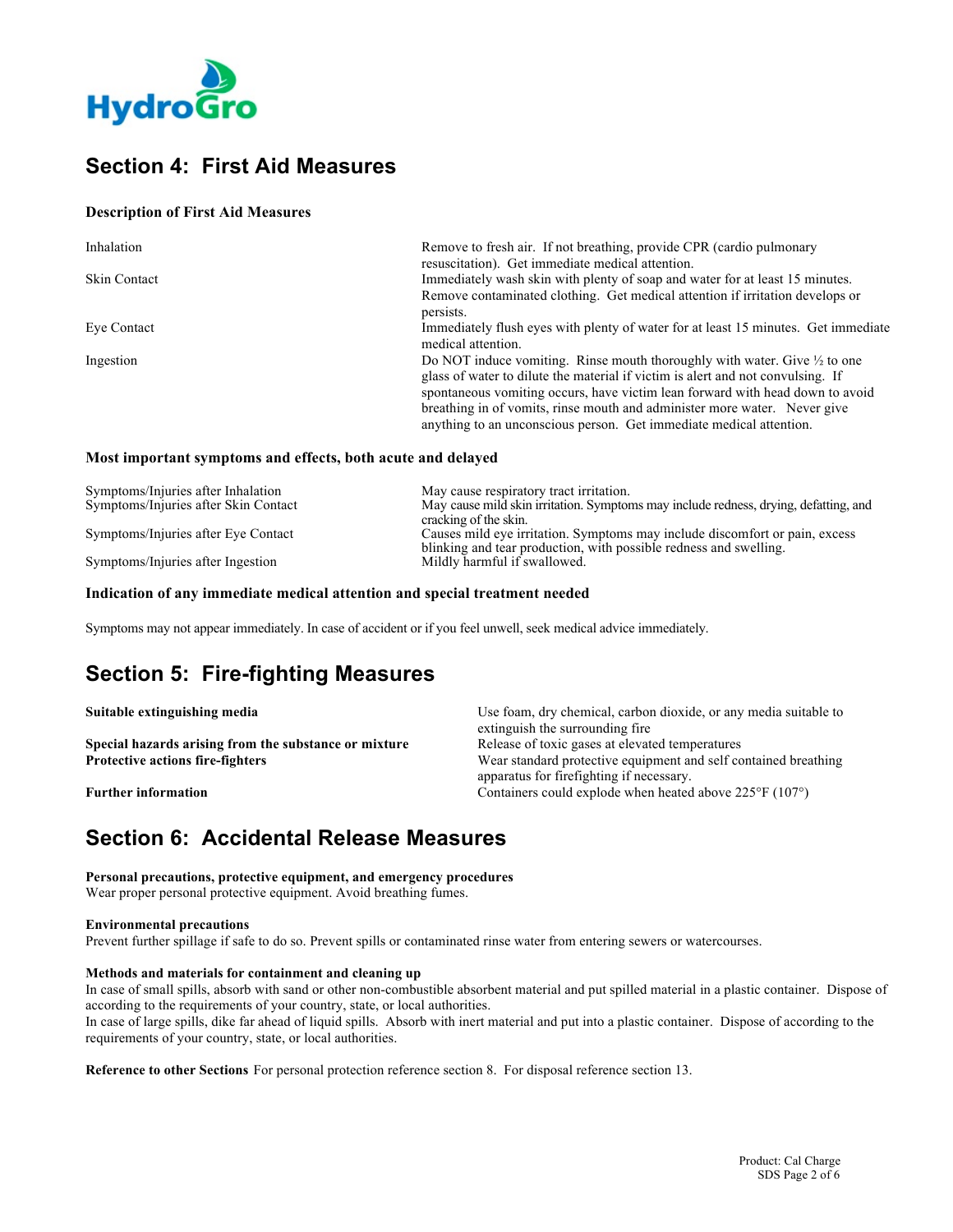

### **Section 4: First Aid Measures**

### **Description of First Aid Measures**

| Inhalation          | Remove to fresh air. If not breathing, provide CPR (cardio pulmonary<br>resuscitation). Get immediate medical attention.                                                                                                                                 |
|---------------------|----------------------------------------------------------------------------------------------------------------------------------------------------------------------------------------------------------------------------------------------------------|
| <b>Skin Contact</b> | Immediately wash skin with plenty of soap and water for at least 15 minutes.                                                                                                                                                                             |
|                     | Remove contaminated clothing. Get medical attention if irritation develops or<br>persists.                                                                                                                                                               |
| Eye Contact         | Immediately flush eyes with plenty of water for at least 15 minutes. Get immediate<br>medical attention.                                                                                                                                                 |
| Ingestion           | Do NOT induce vomiting. Rinse mouth thoroughly with water. Give $\frac{1}{2}$ to one<br>glass of water to dilute the material if victim is alert and not convulsing. If<br>spontaneous vomiting occurs, have victim lean forward with head down to avoid |
|                     | breathing in of vomits, rinse mouth and administer more water. Never give<br>anything to an unconscious person. Get immediate medical attention.                                                                                                         |

### **Most important symptoms and effects, both acute and delayed**

| Symptoms/Injuries after Inhalation   | May cause respiratory tract irritation.                                              |
|--------------------------------------|--------------------------------------------------------------------------------------|
| Symptoms/Injuries after Skin Contact | May cause mild skin irritation. Symptoms may include redness, drying, defatting, and |
|                                      | cracking of the skin.                                                                |
| Symptoms/Injuries after Eye Contact  | Causes mild eye irritation. Symptoms may include discomfort or pain, excess          |
|                                      | blinking and tear production, with possible redness and swelling.                    |
| Symptoms/Injuries after Ingestion    | Mildly harmful if swallowed.                                                         |

#### **Indication of any immediate medical attention and special treatment needed**

Symptoms may not appear immediately. In case of accident or if you feel unwell, seek medical advice immediately.

### **Section 5: Fire-fighting Measures**

| Use foam, dry chemical, carbon dioxide, or any media suitable to       |  |  |
|------------------------------------------------------------------------|--|--|
| extinguish the surrounding fire.                                       |  |  |
| Release of toxic gases at elevated temperatures                        |  |  |
| Wear standard protective equipment and self contained breathing        |  |  |
| apparatus for firefighting if necessary.                               |  |  |
| Containers could explode when heated above $225^{\circ}F(107^{\circ})$ |  |  |
|                                                                        |  |  |

### **Section 6: Accidental Release Measures**

**Personal precautions, protective equipment, and emergency procedures** Wear proper personal protective equipment. Avoid breathing fumes.

#### **Environmental precautions**

Prevent further spillage if safe to do so. Prevent spills or contaminated rinse water from entering sewers or watercourses.

#### **Methods and materials for containment and cleaning up**

In case of small spills, absorb with sand or other non-combustible absorbent material and put spilled material in a plastic container. Dispose of according to the requirements of your country, state, or local authorities.

In case of large spills, dike far ahead of liquid spills. Absorb with inert material and put into a plastic container. Dispose of according to the requirements of your country, state, or local authorities.

**Reference to other Sections** For personal protection reference section 8. For disposal reference section 13.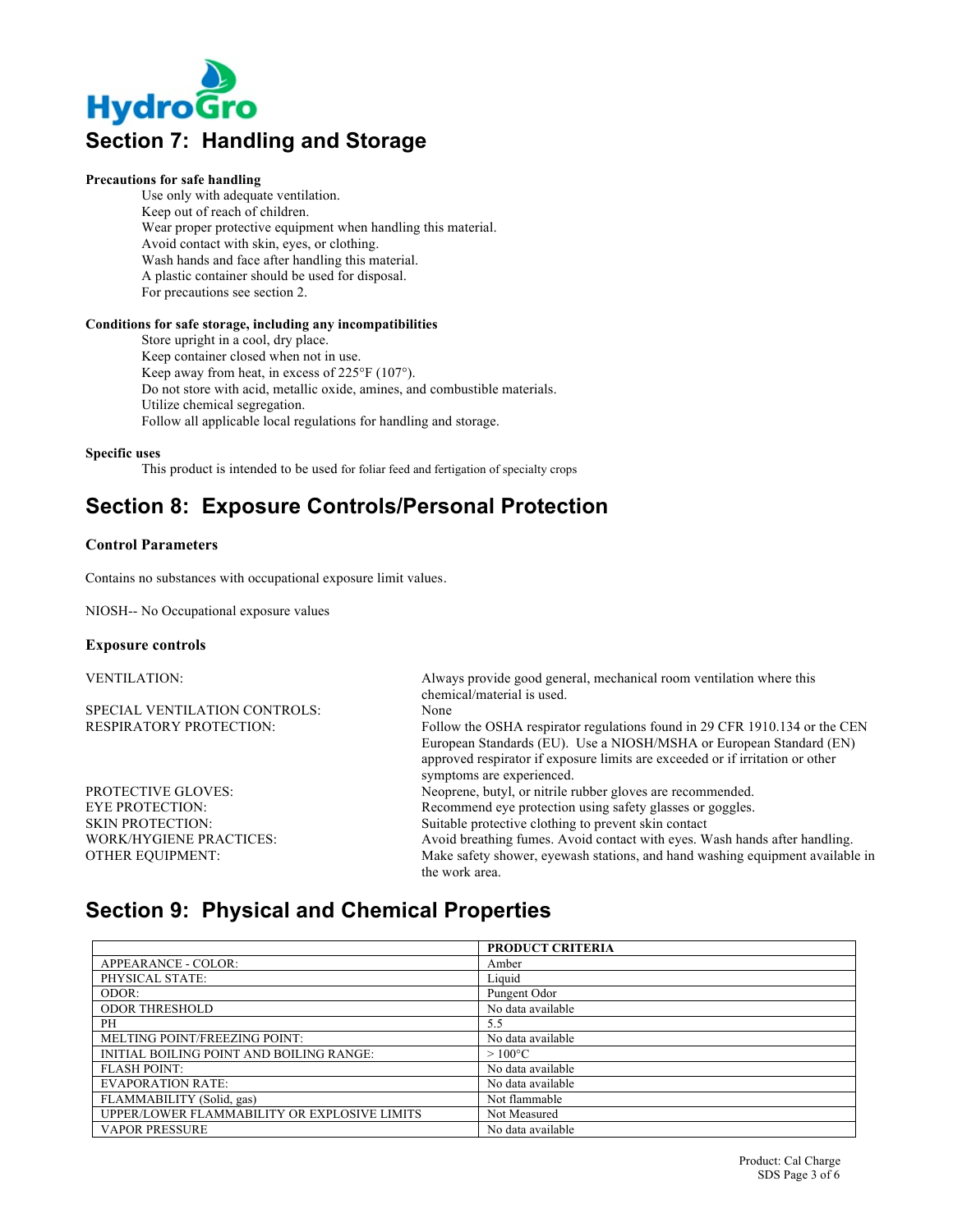

#### **Precautions for safe handling**

Use only with adequate ventilation. Keep out of reach of children. Wear proper protective equipment when handling this material. Avoid contact with skin, eyes, or clothing. Wash hands and face after handling this material. A plastic container should be used for disposal. For precautions see section 2.

#### **Conditions for safe storage, including any incompatibilities**

Store upright in a cool, dry place. Keep container closed when not in use. Keep away from heat, in excess of 225°F (107°). Do not store with acid, metallic oxide, amines, and combustible materials. Utilize chemical segregation. Follow all applicable local regulations for handling and storage.

**Specific uses**

This product is intended to be used for foliar feed and fertigation of specialty crops

### **Section 8: Exposure Controls/Personal Protection**

#### **Control Parameters**

Contains no substances with occupational exposure limit values.

NIOSH-- No Occupational exposure values

#### **Exposure controls**

| <b>VENTILATION:</b>            | Always provide good general, mechanical room ventilation where this           |
|--------------------------------|-------------------------------------------------------------------------------|
|                                | chemical/material is used.                                                    |
| SPECIAL VENTILATION CONTROLS:  | None                                                                          |
| <b>RESPIRATORY PROTECTION:</b> | Follow the OSHA respirator regulations found in 29 CFR 1910.134 or the CEN    |
|                                | European Standards (EU). Use a NIOSH/MSHA or European Standard (EN)           |
|                                | approved respirator if exposure limits are exceeded or if irritation or other |
|                                | symptoms are experienced.                                                     |
| <b>PROTECTIVE GLOVES:</b>      | Neoprene, butyl, or nitrile rubber gloves are recommended.                    |
| <b>EYE PROTECTION:</b>         | Recommend eye protection using safety glasses or goggles.                     |
| <b>SKIN PROTECTION:</b>        | Suitable protective clothing to prevent skin contact                          |
| <b>WORK/HYGIENE PRACTICES:</b> | Avoid breathing fumes. Avoid contact with eyes. Wash hands after handling.    |
| <b>OTHER EQUIPMENT:</b>        | Make safety shower, eyewash stations, and hand washing equipment available in |
|                                | the work area.                                                                |

### **Section 9: Physical and Chemical Properties**

|                                              | <b>PRODUCT CRITERIA</b> |
|----------------------------------------------|-------------------------|
| APPEARANCE - COLOR:                          | Amber                   |
| PHYSICAL STATE:                              | Liquid                  |
| ODOR:                                        | Pungent Odor            |
| <b>ODOR THRESHOLD</b>                        | No data available       |
| <b>PH</b>                                    | 5.5                     |
| MELTING POINT/FREEZING POINT:                | No data available       |
| INITIAL BOILING POINT AND BOILING RANGE:     | $>100^{\circ}$ C        |
| <b>FLASH POINT:</b>                          | No data available       |
| <b>EVAPORATION RATE:</b>                     | No data available       |
| FLAMMABILITY (Solid, gas)                    | Not flammable           |
| UPPER/LOWER FLAMMABILITY OR EXPLOSIVE LIMITS | Not Measured            |
| <b>VAPOR PRESSURE</b>                        | No data available       |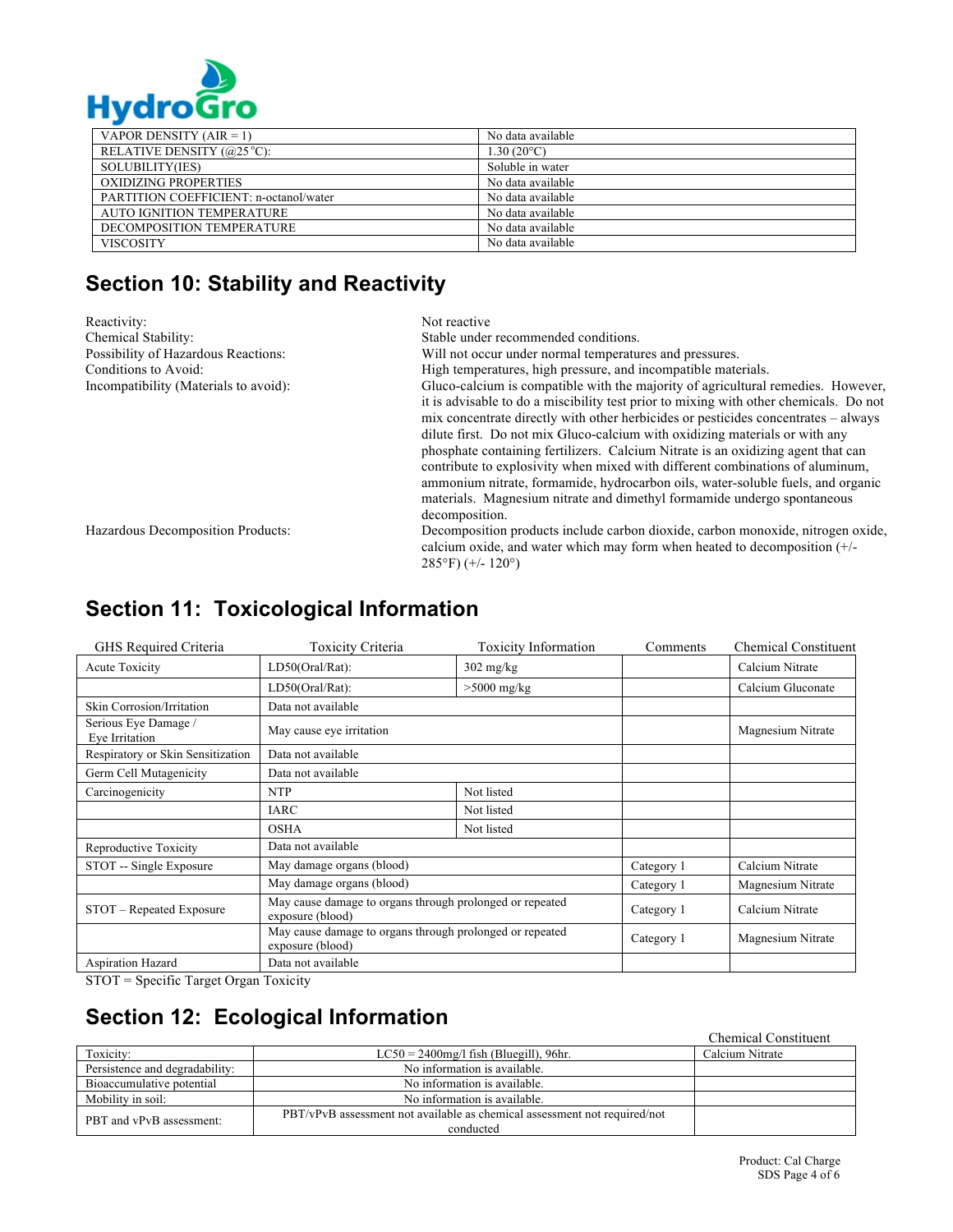

| . . ,                                  |                     |
|----------------------------------------|---------------------|
| VAPOR DENSITY $(AIR = 1)$              | No data available   |
| RELATIVE DENSITY $(@25°C)$ :           | $1.30(20^{\circ}C)$ |
| SOLUBILITY(IES)                        | Soluble in water    |
| OXIDIZING PROPERTIES                   | No data available   |
| PARTITION COEFFICIENT: n-octanol/water | No data available   |
| AUTO IGNITION TEMPERATURE              | No data available   |
| DECOMPOSITION TEMPERATURE              | No data available   |
| <b>VISCOSITY</b>                       | No data available   |

# **Section 10: Stability and Reactivity**

| Reactivity:                           | Not reactive                                                                                                                                                                                |
|---------------------------------------|---------------------------------------------------------------------------------------------------------------------------------------------------------------------------------------------|
| Chemical Stability:                   | Stable under recommended conditions.                                                                                                                                                        |
| Possibility of Hazardous Reactions:   | Will not occur under normal temperatures and pressures.                                                                                                                                     |
| Conditions to Avoid:                  | High temperatures, high pressure, and incompatible materials.                                                                                                                               |
| Incompatibility (Materials to avoid): | Gluco-calcium is compatible with the majority of agricultural remedies. However,                                                                                                            |
|                                       | it is advisable to do a miscibility test prior to mixing with other chemicals. Do not<br>mix concentrate directly with other herbicides or pesticides concentrates – always                 |
|                                       | dilute first. Do not mix Gluco-calcium with oxidizing materials or with any                                                                                                                 |
|                                       | phosphate containing fertilizers. Calcium Nitrate is an oxidizing agent that can                                                                                                            |
|                                       | contribute to explosivity when mixed with different combinations of aluminum,                                                                                                               |
|                                       | ammonium nitrate, formamide, hydrocarbon oils, water-soluble fuels, and organic                                                                                                             |
|                                       | materials. Magnesium nitrate and dimethyl formamide undergo spontaneous                                                                                                                     |
|                                       | decomposition.                                                                                                                                                                              |
| Hazardous Decomposition Products:     | Decomposition products include carbon dioxide, carbon monoxide, nitrogen oxide,<br>calcium oxide, and water which may form when heated to decomposition (+/-<br>$285^{\circ}$ F) (+/- 120°) |

# **Section 11: Toxicological Information**

| GHS Required Criteria                  | <b>Toxicity Criteria</b>                                                     | <b>Toxicity Information</b> | Comments   | <b>Chemical Constituent</b> |
|----------------------------------------|------------------------------------------------------------------------------|-----------------------------|------------|-----------------------------|
| Acute Toxicity                         | LD50(Oral/Rat):                                                              | $302$ mg/kg                 |            | Calcium Nitrate             |
|                                        | LD50(Oral/Rat):                                                              | $>5000$ mg/kg               |            | Calcium Gluconate           |
| Skin Corrosion/Irritation              | Data not available                                                           |                             |            |                             |
| Serious Eye Damage /<br>Eve Irritation | May cause eye irritation                                                     |                             |            | Magnesium Nitrate           |
| Respiratory or Skin Sensitization      | Data not available                                                           |                             |            |                             |
| Germ Cell Mutagenicity                 | Data not available                                                           |                             |            |                             |
| Carcinogenicity                        | NTP                                                                          | Not listed                  |            |                             |
|                                        | <b>IARC</b>                                                                  | Not listed                  |            |                             |
|                                        | <b>OSHA</b>                                                                  | Not listed                  |            |                             |
| Reproductive Toxicity                  | Data not available                                                           |                             |            |                             |
| STOT -- Single Exposure                | May damage organs (blood)                                                    |                             | Category 1 | Calcium Nitrate             |
|                                        | May damage organs (blood)                                                    |                             | Category 1 | Magnesium Nitrate           |
| STOT – Repeated Exposure               | May cause damage to organs through prolonged or repeated<br>exposure (blood) |                             | Category 1 | Calcium Nitrate             |
|                                        | May cause damage to organs through prolonged or repeated<br>exposure (blood) |                             | Category 1 | Magnesium Nitrate           |
| <b>Aspiration Hazard</b>               | Data not available                                                           |                             |            |                             |

STOT = Specific Target Organ Toxicity

# **Section 12: Ecological Information**

Chemical Constituent

|                                |                                                                           | Chemical Comencaem |
|--------------------------------|---------------------------------------------------------------------------|--------------------|
| Toxicity:                      | $LC50 = 2400$ mg/l fish (Bluegill), 96hr.                                 | Calcium Nitrate    |
| Persistence and degradability: | No information is available.                                              |                    |
| Bioaccumulative potential      | No information is available.                                              |                    |
| Mobility in soil:              | No information is available.                                              |                    |
| PBT and vPvB assessment:       | PBT/vPvB assessment not available as chemical assessment not required/not |                    |
|                                | conducted                                                                 |                    |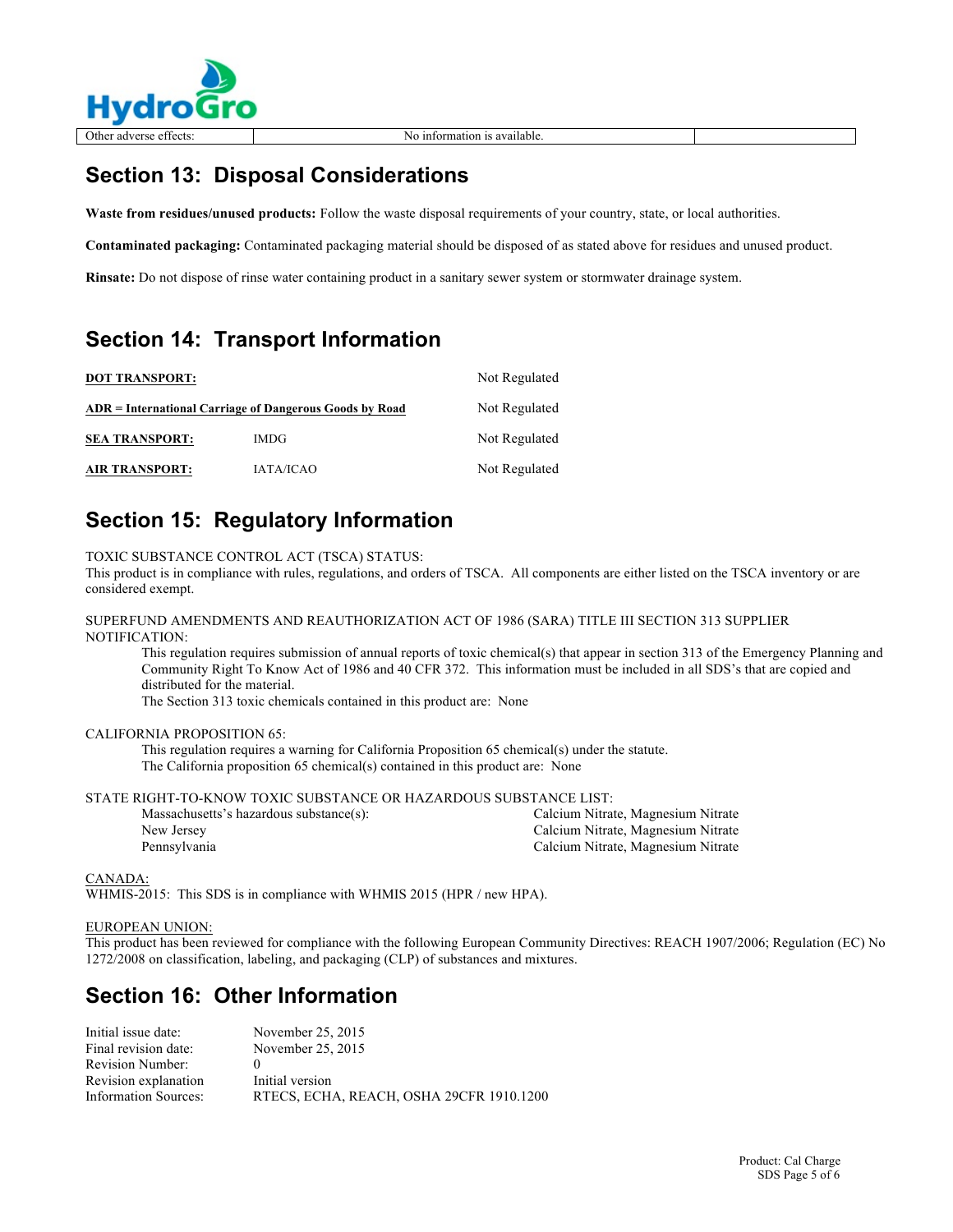

# **Section 13: Disposal Considerations**

**Waste from residues/unused products:** Follow the waste disposal requirements of your country, state, or local authorities.

**Contaminated packaging:** Contaminated packaging material should be disposed of as stated above for residues and unused product.

**Rinsate:** Do not dispose of rinse water containing product in a sanitary sewer system or stormwater drainage system.

## **Section 14: Transport Information**

| <b>DOT TRANSPORT:</b>                                   |                  | Not Regulated |
|---------------------------------------------------------|------------------|---------------|
| ADR = International Carriage of Dangerous Goods by Road | Not Regulated    |               |
| <b>SEA TRANSPORT:</b>                                   | IMDG.            | Not Regulated |
| <b>AIR TRANSPORT:</b>                                   | <b>IATA/ICAO</b> | Not Regulated |

## **Section 15: Regulatory Information**

TOXIC SUBSTANCE CONTROL ACT (TSCA) STATUS:

This product is in compliance with rules, regulations, and orders of TSCA. All components are either listed on the TSCA inventory or are considered exempt.

SUPERFUND AMENDMENTS AND REAUTHORIZATION ACT OF 1986 (SARA) TITLE III SECTION 313 SUPPLIER NOTIFICATION:

This regulation requires submission of annual reports of toxic chemical(s) that appear in section 313 of the Emergency Planning and Community Right To Know Act of 1986 and 40 CFR 372. This information must be included in all SDS's that are copied and distributed for the material.

The Section 313 toxic chemicals contained in this product are: None

### CALIFORNIA PROPOSITION 65:

This regulation requires a warning for California Proposition 65 chemical(s) under the statute. The California proposition 65 chemical(s) contained in this product are: None

STATE RIGHT-TO-KNOW TOXIC SUBSTANCE OR HAZARDOUS SUBSTANCE LIST:

| Massachusetts's hazardous substance(s): | Calcium Nitrate, Magnesium Nitrate |
|-----------------------------------------|------------------------------------|
| New Jersey                              | Calcium Nitrate, Magnesium Nitrate |
| Pennsylvania                            | Calcium Nitrate, Magnesium Nitrate |

CANADA:

WHMIS-2015: This SDS is in compliance with WHMIS 2015 (HPR / new HPA).

### EUROPEAN UNION:

This product has been reviewed for compliance with the following European Community Directives: REACH 1907/2006; Regulation (EC) No 1272/2008 on classification, labeling, and packaging (CLP) of substances and mixtures.

### **Section 16: Other Information**

| Initial issue date:         | November 25, 2015                        |
|-----------------------------|------------------------------------------|
| Final revision date:        | November 25, 2015                        |
| Revision Number:            |                                          |
| Revision explanation        | Initial version                          |
| <b>Information Sources:</b> | RTECS, ECHA, REACH, OSHA 29CFR 1910.1200 |

 $\overline{a}$